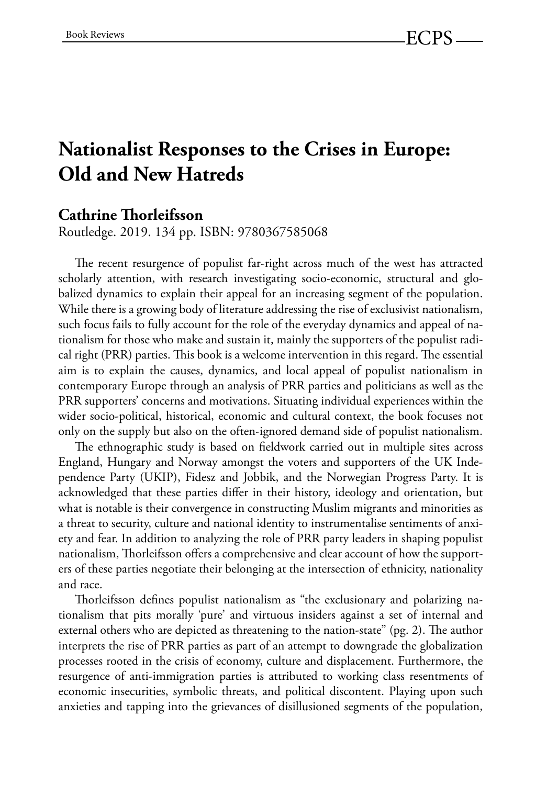## **Nationalist Responses to the Crises in Europe: Old and New Hatreds**

## **Cathrine !orleifsson**

Routledge. 2019. 134 pp. ISBN: 9780367585068

The recent resurgence of populist far-right across much of the west has attracted scholarly attention, with research investigating socio-economic, structural and globalized dynamics to explain their appeal for an increasing segment of the population. While there is a growing body of literature addressing the rise of exclusivist nationalism, such focus fails to fully account for the role of the everyday dynamics and appeal of nationalism for those who make and sustain it, mainly the supporters of the populist radical right (PRR) parties. This book is a welcome intervention in this regard. The essential aim is to explain the causes, dynamics, and local appeal of populist nationalism in contemporary Europe through an analysis of PRR parties and politicians as well as the PRR supporters' concerns and motivations. Situating individual experiences within the wider socio-political, historical, economic and cultural context, the book focuses not only on the supply but also on the often-ignored demand side of populist nationalism.

The ethnographic study is based on fieldwork carried out in multiple sites across England, Hungary and Norway amongst the voters and supporters of the UK Independence Party (UKIP), Fidesz and Jobbik, and the Norwegian Progress Party. It is acknowledged that these parties differ in their history, ideology and orientation, but what is notable is their convergence in constructing Muslim migrants and minorities as a threat to security, culture and national identity to instrumentalise sentiments of anxiety and fear. In addition to analyzing the role of PRR party leaders in shaping populist nationalism, Thorleifsson offers a comprehensive and clear account of how the supporters of these parties negotiate their belonging at the intersection of ethnicity, nationality and race.

Thorleifsson defines populist nationalism as "the exclusionary and polarizing nationalism that pits morally 'pure' and virtuous insiders against a set of internal and external others who are depicted as threatening to the nation-state" (pg. 2). The author interprets the rise of PRR parties as part of an attempt to downgrade the globalization processes rooted in the crisis of economy, culture and displacement. Furthermore, the resurgence of anti-immigration parties is attributed to working class resentments of economic insecurities, symbolic threats, and political discontent. Playing upon such anxieties and tapping into the grievances of disillusioned segments of the population,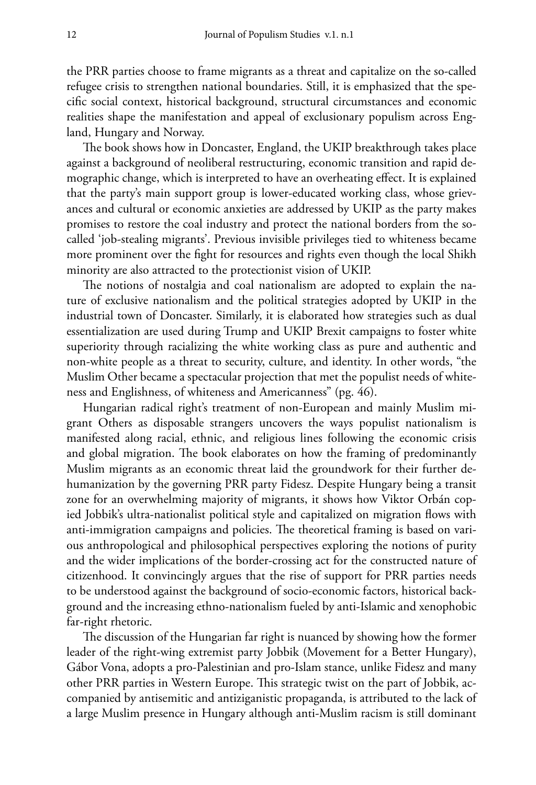the PRR parties choose to frame migrants as a threat and capitalize on the so-called refugee crisis to strengthen national boundaries. Still, it is emphasized that the specific social context, historical background, structural circumstances and economic realities shape the manifestation and appeal of exclusionary populism across England, Hungary and Norway.

The book shows how in Doncaster, England, the UKIP breakthrough takes place against a background of neoliberal restructuring, economic transition and rapid demographic change, which is interpreted to have an overheating effect. It is explained that the party's main support group is lower-educated working class, whose grievances and cultural or economic anxieties are addressed by UKIP as the party makes promises to restore the coal industry and protect the national borders from the socalled 'job-stealing migrants'. Previous invisible privileges tied to whiteness became more prominent over the fight for resources and rights even though the local Shikh minority are also attracted to the protectionist vision of UKIP.

The notions of nostalgia and coal nationalism are adopted to explain the nature of exclusive nationalism and the political strategies adopted by UKIP in the industrial town of Doncaster. Similarly, it is elaborated how strategies such as dual essentialization are used during Trump and UKIP Brexit campaigns to foster white superiority through racializing the white working class as pure and authentic and non-white people as a threat to security, culture, and identity. In other words, "the Muslim Other became a spectacular projection that met the populist needs of whiteness and Englishness, of whiteness and Americanness" (pg. 46).

Hungarian radical right's treatment of non-European and mainly Muslim migrant Others as disposable strangers uncovers the ways populist nationalism is manifested along racial, ethnic, and religious lines following the economic crisis and global migration. The book elaborates on how the framing of predominantly Muslim migrants as an economic threat laid the groundwork for their further dehumanization by the governing PRR party Fidesz. Despite Hungary being a transit zone for an overwhelming majority of migrants, it shows how Viktor Orbán copied Jobbik's ultra-nationalist political style and capitalized on migration flows with anti-immigration campaigns and policies. The theoretical framing is based on various anthropological and philosophical perspectives exploring the notions of purity and the wider implications of the border-crossing act for the constructed nature of citizenhood. It convincingly argues that the rise of support for PRR parties needs to be understood against the background of socio-economic factors, historical background and the increasing ethno-nationalism fueled by anti-Islamic and xenophobic far-right rhetoric.

The discussion of the Hungarian far right is nuanced by showing how the former leader of the right-wing extremist party Jobbik (Movement for a Better Hungary), Gábor Vona, adopts a pro-Palestinian and pro-Islam stance, unlike Fidesz and many other PRR parties in Western Europe. This strategic twist on the part of Jobbik, accompanied by antisemitic and antiziganistic propaganda, is attributed to the lack of a large Muslim presence in Hungary although anti-Muslim racism is still dominant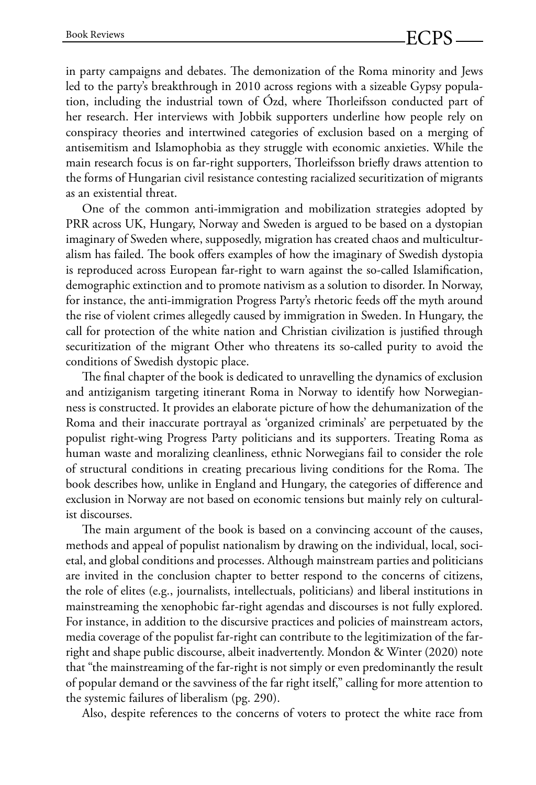in party campaigns and debates. The demonization of the Roma minority and Jews led to the party's breakthrough in 2010 across regions with a sizeable Gypsy population, including the industrial town of Ózd, where Thorleifsson conducted part of her research. Her interviews with Jobbik supporters underline how people rely on conspiracy theories and intertwined categories of exclusion based on a merging of antisemitism and Islamophobia as they struggle with economic anxieties. While the main research focus is on far-right supporters, Thorleifsson briefly draws attention to the forms of Hungarian civil resistance contesting racialized securitization of migrants as an existential threat.

One of the common anti-immigration and mobilization strategies adopted by PRR across UK, Hungary, Norway and Sweden is argued to be based on a dystopian imaginary of Sweden where, supposedly, migration has created chaos and multiculturalism has failed. The book offers examples of how the imaginary of Swedish dystopia is reproduced across European far-right to warn against the so-called Islamification, demographic extinction and to promote nativism as a solution to disorder. In Norway, for instance, the anti-immigration Progress Party's rhetoric feeds off the myth around the rise of violent crimes allegedly caused by immigration in Sweden. In Hungary, the call for protection of the white nation and Christian civilization is justified through securitization of the migrant Other who threatens its so-called purity to avoid the conditions of Swedish dystopic place.

The final chapter of the book is dedicated to unravelling the dynamics of exclusion and antiziganism targeting itinerant Roma in Norway to identify how Norwegianness is constructed. It provides an elaborate picture of how the dehumanization of the Roma and their inaccurate portrayal as 'organized criminals' are perpetuated by the populist right-wing Progress Party politicians and its supporters. Treating Roma as human waste and moralizing cleanliness, ethnic Norwegians fail to consider the role of structural conditions in creating precarious living conditions for the Roma. The book describes how, unlike in England and Hungary, the categories of difference and exclusion in Norway are not based on economic tensions but mainly rely on culturalist discourses.

The main argument of the book is based on a convincing account of the causes, methods and appeal of populist nationalism by drawing on the individual, local, societal, and global conditions and processes. Although mainstream parties and politicians are invited in the conclusion chapter to better respond to the concerns of citizens, the role of elites (e.g., journalists, intellectuals, politicians) and liberal institutions in mainstreaming the xenophobic far-right agendas and discourses is not fully explored. For instance, in addition to the discursive practices and policies of mainstream actors, media coverage of the populist far-right can contribute to the legitimization of the farright and shape public discourse, albeit inadvertently. Mondon & Winter (2020) note that "the mainstreaming of the far-right is not simply or even predominantly the result of popular demand or the savviness of the far right itself," calling for more attention to the systemic failures of liberalism (pg. 290).

Also, despite references to the concerns of voters to protect the white race from